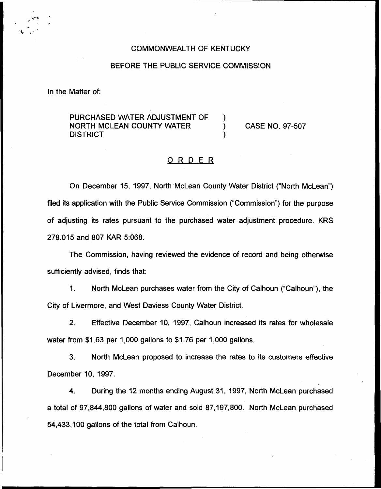### COMMONWEALTH OF KENTUCKY

### BEFORE THE PUBLIC SERVICE COMMISSION

In the Matter of:

PURCHASED WATER ADJUSTMENT OF NORTH MCLEAN COUNTY WATER ) **DISTRICT** 

CASE NO. 97-507

## ORDER

On December 15, 1997, North McLean County Water District ("North McLean") filed its application with the Public Service Commission ("Commission") for the purpos of adjusting its rates pursuant to the purchased water adjustment procedure. KRS 278.015 and 807 KAR 5:068.

The Commission, having reviewed the evidence of record and being otherwise sufficiently advised, finds that:

 $1.$ North McLean purchases water from the City of Calhoun ("Calhoun"), the City of Livermore, and West Daviess County Water District.

2. Effective December 10, 1997, Calhoun increased its rates for wholesale water from \$1.63 per 1,000 gallons to \$1.76 per 1,000 gallons.

3. North McLean proposed to increase the rates to its customers effective December 10, 1997.

4. During the 12 months ending August 31, 1997, North McLean purchased a total of 97,844,800 gallons of water and sold 87,197,800. North McLean purchased 54,433,100 gallons of the total from Calhoun.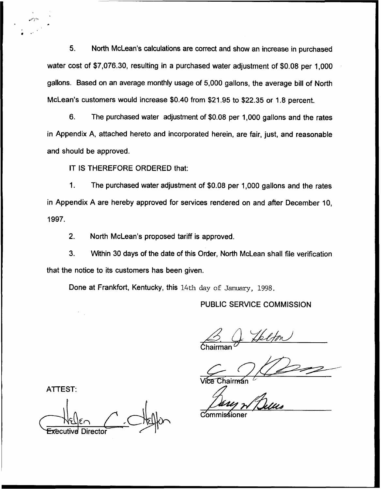5. North McLean's calculations are correct and show an increase in purchased water cost of \$7,076.30, resulting in a purchased water adjustment of \$0.08 per 1,000 gallons. Based on an average monthly usage of 5,000 gallons, the average bill of North McLean's customers would increase \$0.40 from \$21.95 to \$22.35 or 1.8 percent.

6. The purchased water adjustment of \$0.08 per 1,000 gallons and the rates in Appendix A, attached hereto and incorporated herein, are fair, just, and reasonable and should be approved.

IT IS THEREFORE ORDERED that:

1. The purchased water adjustment of \$0.08 per 1,000 gallons and the rates in Appendix A are hereby approved for services rendered on and after December 10, 1997.

2. North McLean's proposed tariff is approved.

3. Within 30 days of the date of this Order, North McLean shall file verification that the notice to its customers has been given.

Done at Frankfort, Kentucky, this 14th day of January, 1998.

PUBLIC SERVICE COMMISSION

 $\overbrace{\mathsf{Chairman}}^{\mathcal{D}}$ 

Vice Chairman

ATTEST:

ive Directo

**Commission**